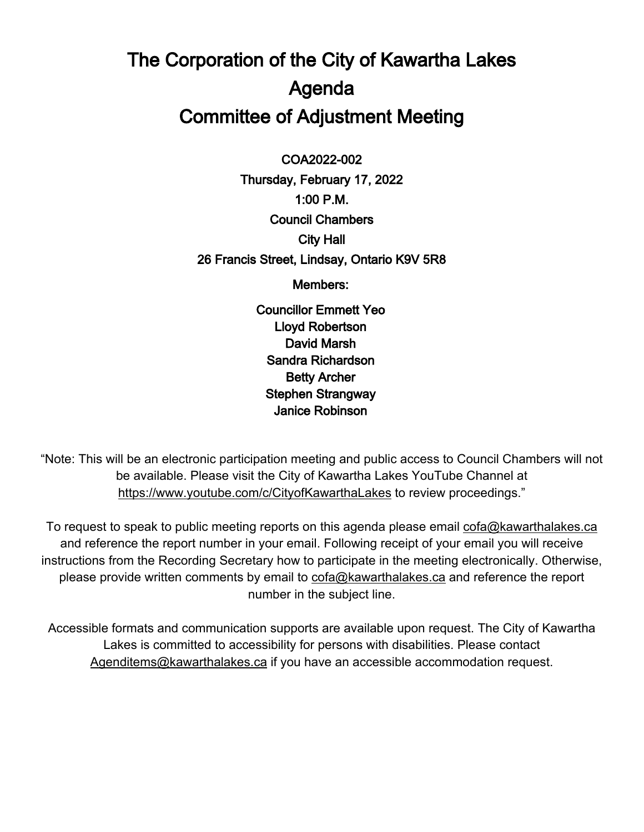# The Corporation of the City of Kawartha Lakes Agenda Committee of Adjustment Meeting

 $\overline{a}$ COA2022-002

Thursday, February 17, 2022 1:00 P.M. Council Chambers City Hall 26 Francis Street, Lindsay, Ontario K9V 5R8

Members:

Councillor Emmett Yeo Lloyd Robertson David Marsh Sandra Richardson Betty Archer Stephen Strangway Janice Robinson

"Note: This will be an electronic participation meeting and public access to Council Chambers will not be available. Please visit the City of Kawartha Lakes YouTube Channel at <https://www.youtube.com/c/CityofKawarthaLakes> to review proceedings."

To request to speak to public meeting reports on this agenda please email [cofa@kawarthalakes.ca](mailto:cofa@kawarthalakes.ca) and reference the report number in your email. Following receipt of your email you will receive instructions from the Recording Secretary how to participate in the meeting electronically. Otherwise, please provide written comments by email to [cofa@kawarthalakes.ca](mailto:cofa@kawarthalakes.ca) and reference the report number in the subject line.

Accessible formats and communication supports are available upon request. The City of Kawartha Lakes is committed to accessibility for persons with disabilities. Please contact [Agenditems@kawarthalakes.ca](mailto:Agenditems@kawarthalakes.ca) if you have an accessible accommodation request.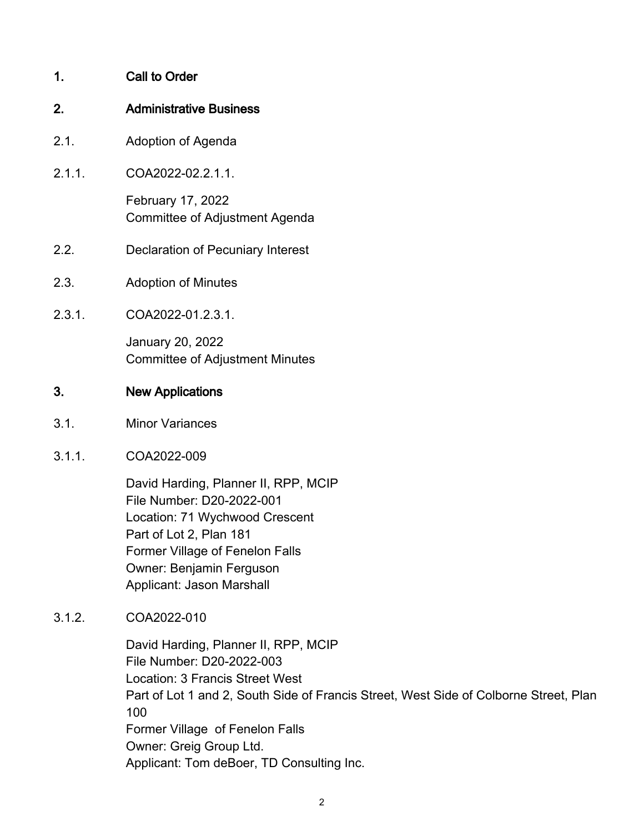# 1. Call to Order

#### 2. Administrative Business

- 2.1. Adoption of Agenda
- 2.1.1. COA2022-02.2.1.1.

February 17, 2022 Committee of Adjustment Agenda

- 2.2. Declaration of Pecuniary Interest
- 2.3. Adoption of Minutes
- 2.3.1. COA2022-01.2.3.1.

January 20, 2022 Committee of Adjustment Minutes

#### 3. New Applications

- 3.1. Minor Variances
- 3.1.1. COA2022-009

David Harding, Planner II, RPP, MCIP File Number: D20-2022-001 Location: 71 Wychwood Crescent Part of Lot 2, Plan 181 Former Village of Fenelon Falls Owner: Benjamin Ferguson Applicant: Jason Marshall

3.1.2. COA2022-010

David Harding, Planner II, RPP, MCIP File Number: D20-2022-003 Location: 3 Francis Street West Part of Lot 1 and 2, South Side of Francis Street, West Side of Colborne Street, Plan 100 Former Village of Fenelon Falls Owner: Greig Group Ltd. Applicant: Tom deBoer, TD Consulting Inc.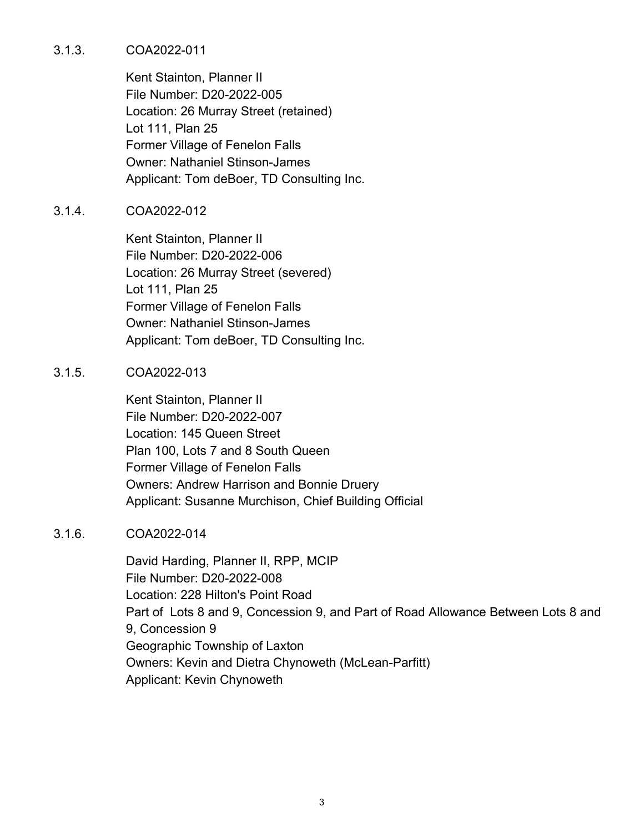#### 3.1.3. COA2022-011

Kent Stainton, Planner II File Number: D20-2022-005 Location: 26 Murray Street (retained) Lot 111, Plan 25 Former Village of Fenelon Falls Owner: Nathaniel Stinson-James Applicant: Tom deBoer, TD Consulting Inc.

## 3.1.4. COA2022-012

Kent Stainton, Planner II File Number: D20-2022-006 Location: 26 Murray Street (severed) Lot 111, Plan 25 Former Village of Fenelon Falls Owner: Nathaniel Stinson-James Applicant: Tom deBoer, TD Consulting Inc.

#### 3.1.5. COA2022-013

Kent Stainton, Planner II File Number: D20-2022-007 Location: 145 Queen Street Plan 100, Lots 7 and 8 South Queen Former Village of Fenelon Falls Owners: Andrew Harrison and Bonnie Druery Applicant: Susanne Murchison, Chief Building Official

#### 3.1.6. COA2022-014

David Harding, Planner II, RPP, MCIP File Number: D20-2022-008 Location: 228 Hilton's Point Road Part of Lots 8 and 9, Concession 9, and Part of Road Allowance Between Lots 8 and 9, Concession 9 Geographic Township of Laxton Owners: Kevin and Dietra Chynoweth (McLean-Parfitt) Applicant: Kevin Chynoweth